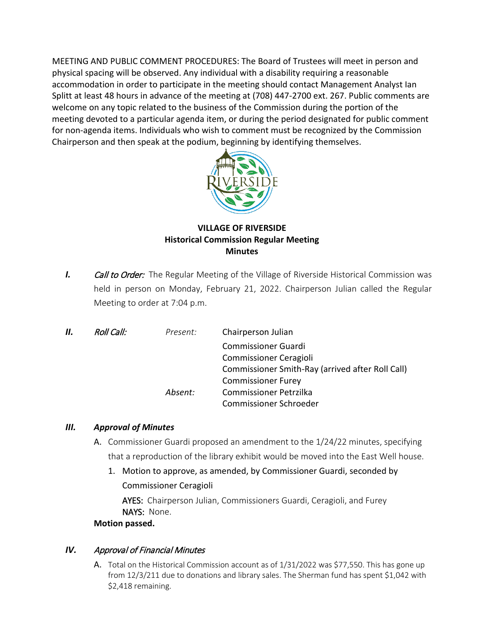MEETING AND PUBLIC COMMENT PROCEDURES: The Board of Trustees will meet in person and physical spacing will be observed. Any individual with a disability requiring a reasonable accommodation in order to participate in the meeting should contact Management Analyst Ian Splitt at least 48 hours in advance of the meeting at (708) 447-2700 ext. 267. Public comments are welcome on any topic related to the business of the Commission during the portion of the meeting devoted to a particular agenda item, or during the period designated for public comment for non-agenda items. Individuals who wish to comment must be recognized by the Commission Chairperson and then speak at the podium, beginning by identifying themselves.



## **VILLAGE OF RIVERSIDE Historical Commission Regular Meeting Minutes**

*I. Call to Order:* The Regular Meeting of the Village of Riverside Historical Commission was held in person on Monday, February 21, 2022. Chairperson Julian called the Regular Meeting to order at 7:04 p.m.

| Commissioner Smith-Ray (arrived after Roll Call) |
|--------------------------------------------------|
|                                                  |
|                                                  |
|                                                  |
|                                                  |

### *III. Approval of Minutes*

- A. Commissioner Guardi proposed an amendment to the 1/24/22 minutes, specifying that a reproduction of the library exhibit would be moved into the East Well house.
	- 1. Motion to approve, as amended, by Commissioner Guardi, seconded by Commissioner Ceragioli

AYES: Chairperson Julian, Commissioners Guardi, Ceragioli, and Furey NAYS: None.

#### **Motion passed.**

### *IV.* Approval of Financial Minutes

A. Total on the Historical Commission account as of 1/31/2022 was \$77,550. This has gone up from 12/3/211 due to donations and library sales. The Sherman fund has spent \$1,042 with \$2,418 remaining.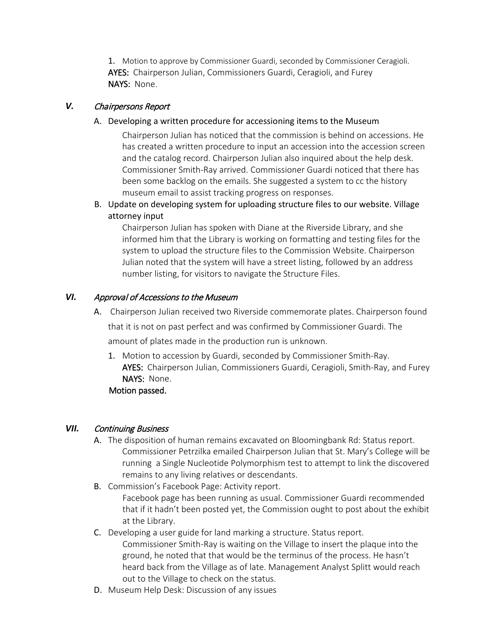1. Motion to approve by Commissioner Guardi, seconded by Commissioner Ceragioli. AYES: Chairperson Julian, Commissioners Guardi, Ceragioli, and Furey NAYS: None.

## *V.* Chairpersons Report

A. Developing a written procedure for accessioning items to the Museum

Chairperson Julian has noticed that the commission is behind on accessions. He has created a written procedure to input an accession into the accession screen and the catalog record. Chairperson Julian also inquired about the help desk. Commissioner Smith-Ray arrived. Commissioner Guardi noticed that there has been some backlog on the emails. She suggested a system to cc the history museum email to assist tracking progress on responses.

B. Update on developing system for uploading structure files to our website. Village attorney input

Chairperson Julian has spoken with Diane at the Riverside Library, and she informed him that the Library is working on formatting and testing files for the system to upload the structure files to the Commission Website. Chairperson Julian noted that the system will have a street listing, followed by an address number listing, for visitors to navigate the Structure Files.

## *VI.* Approval of Accessions to the Museum

- A. Chairperson Julian received two Riverside commemorate plates. Chairperson found that it is not on past perfect and was confirmed by Commissioner Guardi. The amount of plates made in the production run is unknown.
	- 1. Motion to accession by Guardi, seconded by Commissioner Smith-Ray. AYES: Chairperson Julian, Commissioners Guardi, Ceragioli, Smith-Ray, and Furey NAYS: None. Motion passed.

### *VII.* Continuing Business

- A. The disposition of human remains excavated on Bloomingbank Rd: Status report. Commissioner Petrzilka emailed Chairperson Julian that St. Mary's College will be running a Single Nucleotide Polymorphism test to attempt to link the discovered remains to any living relatives or descendants.
- B. Commission's Facebook Page: Activity report. Facebook page has been running as usual. Commissioner Guardi recommended that if it hadn't been posted yet, the Commission ought to post about the exhibit at the Library.
- C. Developing a user guide for land marking a structure. Status report. Commissioner Smith-Ray is waiting on the Village to insert the plaque into the ground, he noted that that would be the terminus of the process. He hasn't heard back from the Village as of late. Management Analyst Splitt would reach out to the Village to check on the status.
- D. Museum Help Desk: Discussion of any issues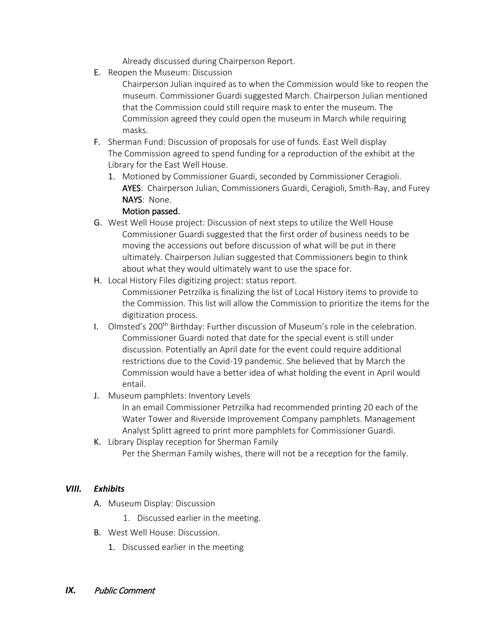Already discussed during Chairperson Report.

E. Reopen the Museum: Discussion

Chairperson Julian inquired as to when the Commission would like to reopen the museum. Commissioner Guardi suggested March. Chairperson Julian mentioned that the Commission could still require mask to enter the museum. The Commission agreed they could open the museum in March while requiring masks.

- F. Sherman Fund: Discussion of proposals for use of funds. East Well display The Commission agreed to spend funding for a reproduction of the exhibit at the Library for the East Well House.
	- 1. Motioned by Commissioner Guardi, seconded by Commissioner Ceragioli. AYES: Chairperson Julian, Commissioners Guardi, Ceragioli, Smith-Ray, and Furey NAYS: None.

### Motion passed.

- G. West Well House project: Discussion of next steps to utilize the Well House Commissioner Guardi suggested that the first order of business needs to be moving the accessions out before discussion of what will be put in there ultimately. Chairperson Julian suggested that Commissioners begin to think about what they would ultimately want to use the space for.
- H. Local History Files digitizing project: status report. Commissioner Petrzilka is finalizing the list of Local History items to provide to the Commission. This list will allow the Commission to prioritize the items for the digitization process.
- I. Olmsted's 200<sup>th</sup> Birthday: Further discussion of Museum's role in the celebration. Commissioner Guardi noted that date for the special event is still under discussion. Potentially an April date for the event could require additional restrictions due to the Covid-19 pandemic. She believed that by March the Commission would have a better idea of what holding the event in April would entail.

# J. Museum pamphlets: Inventory Levels

In an email Commissioner Petrzilka had recommended printing 20 each of the Water Tower and Riverside Improvement Company pamphlets. Management Analyst Splitt agreed to print more pamphlets for Commissioner Guardi.

K. Library Display reception for Sherman Family Per the Sherman Family wishes, there will not be a reception for the family.

### *VIII. Exhibits*

- A. Museum Display: Discussion
	- 1. Discussed earlier in the meeting.
- B. West Well House: Discussion.
	- 1. Discussed earlier in the meeting